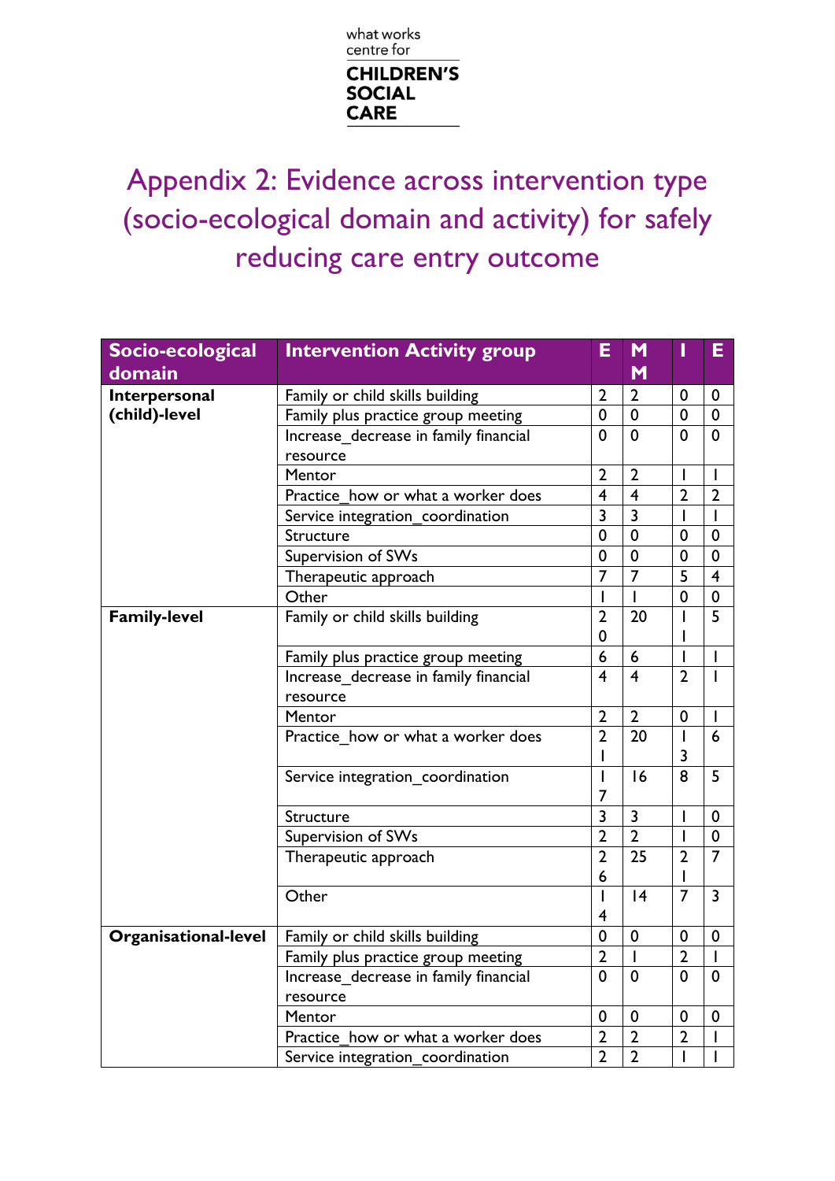

Appendix 2: Evidence across intervention type (socio-ecological domain and activity) for safely reducing care entry outcome

| Socio-ecological            | <b>Intervention Activity group</b>    | Е              | M                       | ı              | Е              |
|-----------------------------|---------------------------------------|----------------|-------------------------|----------------|----------------|
| domain                      |                                       |                | M                       |                |                |
| Interpersonal               | Family or child skills building       | $\overline{2}$ | $\overline{2}$          | 0              | 0              |
| (child)-level               | Family plus practice group meeting    | $\mathbf 0$    | $\mathbf 0$             | 0              | $\mathbf 0$    |
|                             | Increase decrease in family financial | 0              | $\mathbf 0$             | 0              | $\mathbf 0$    |
|                             | resource                              |                |                         |                |                |
|                             | Mentor                                | $\overline{2}$ | $\overline{2}$          | L              | I              |
|                             | Practice how or what a worker does    | 4              | $\overline{\mathbf{4}}$ | $\overline{2}$ | $\overline{2}$ |
|                             | Service integration_coordination      | $\overline{3}$ | $\overline{3}$          | $\mathbf{I}$   | $\overline{1}$ |
|                             | Structure                             | 0              | $\mathbf 0$             | 0              | $\mathbf 0$    |
|                             | Supervision of SWs                    | $\mathbf 0$    | $\mathbf 0$             | $\mathbf 0$    | $\mathbf 0$    |
|                             | Therapeutic approach                  | 7              | $\overline{7}$          | $\overline{5}$ | $\overline{4}$ |
|                             | Other                                 | $\overline{1}$ | T                       | $\mathbf 0$    | $\pmb{0}$      |
| <b>Family-level</b>         | Family or child skills building       | $\overline{2}$ | 20                      |                | $\overline{5}$ |
|                             |                                       | $\mathbf 0$    |                         |                |                |
|                             | Family plus practice group meeting    | 6              | 6                       |                |                |
|                             | Increase decrease in family financial | 4              | $\overline{\mathbf{4}}$ | $\overline{2}$ |                |
|                             | resource                              |                |                         |                |                |
|                             | Mentor                                | $\overline{2}$ | $\overline{2}$          | 0              |                |
|                             | Practice how or what a worker does    | $\overline{2}$ | 20                      | T              | 6              |
|                             |                                       |                |                         | 3              |                |
|                             | Service integration_coordination      | L              | 16                      | 8              | 5              |
|                             |                                       | 7              |                         |                |                |
|                             | Structure                             | 3              | 3                       |                | $\mathbf 0$    |
|                             | Supervision of SWs                    | $\overline{2}$ | $\overline{2}$          | $\mathsf{I}$   | $\mathbf 0$    |
|                             | Therapeutic approach                  | $\overline{2}$ | 25                      | $\overline{2}$ | $\overline{7}$ |
|                             |                                       | 6              |                         |                |                |
|                             | Other                                 | I              | 4                       | $\overline{7}$ | $\overline{3}$ |
|                             |                                       | $\overline{4}$ |                         |                |                |
| <b>Organisational-level</b> | Family or child skills building       | $\mathbf 0$    | $\mathbf 0$             | 0              | $\mathbf 0$    |
|                             | Family plus practice group meeting    | $\overline{2}$ | $\overline{1}$          | $\overline{2}$ | $\mathbf{I}$   |
|                             | Increase decrease in family financial | 0              | $\mathbf 0$             | 0              | $\mathbf 0$    |
|                             | resource                              |                |                         |                |                |
|                             | Mentor                                | 0              | $\mathbf 0$             | 0              | $\mathbf 0$    |
|                             | Practice_how or what a worker does    | $\overline{2}$ | $\overline{2}$          | $\overline{2}$ | I              |
|                             | Service integration coordination      | $\overline{2}$ | $\overline{2}$          |                | I              |